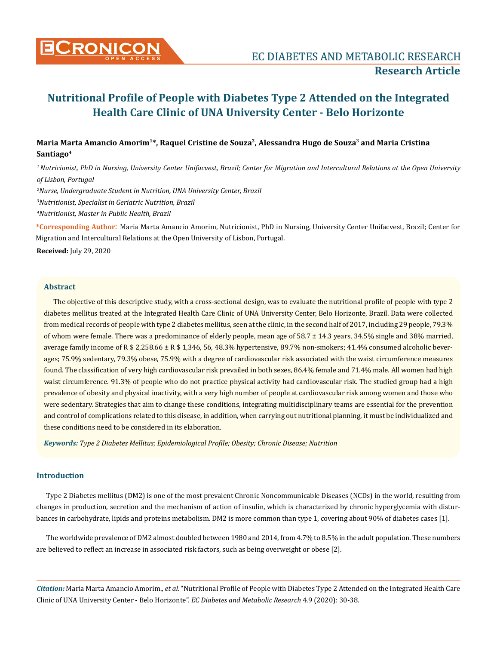

# **Maria Marta Amancio Amorim1\*, Raquel Cristine de Souza2, Alessandra Hugo de Souza<sup>3</sup> and Maria Cristina Santiago<sup>4</sup>**

*<sup>1</sup>Nutricionist, PhD in Nursing, University Center Unifacvest, Brazil; Center for Migration and Intercultural Relations at the Open University of Lisbon, Portugal*

*2 Nurse, Undergraduate Student in Nutrition, UNA University Center, Brazil*

*3 Nutritionist, Specialist in Geriatric Nutrition, Brazil*

*4 Nutritionist, Master in Public Health, Brazil*

**\*Corresponding Author**: Maria Marta Amancio Amorim, Nutricionist, PhD in Nursing, University Center Unifacvest, Brazil; Center for Migration and Intercultural Relations at the Open University of Lisbon, Portugal.

**Received:** July 29, 2020

#### **Abstract**

The objective of this descriptive study, with a cross-sectional design, was to evaluate the nutritional profile of people with type 2 diabetes mellitus treated at the Integrated Health Care Clinic of UNA University Center, Belo Horizonte, Brazil. Data were collected from medical records of people with type 2 diabetes mellitus, seen at the clinic, in the second half of 2017, including 29 people, 79.3% of whom were female. There was a predominance of elderly people, mean age of 58.7 ± 14.3 years, 34.5% single and 38% married, average family income of R \$ 2,258.66 ± R \$ 1,346, 56, 48.3% hypertensive, 89.7% non-smokers; 41.4% consumed alcoholic beverages; 75.9% sedentary, 79.3% obese, 75.9% with a degree of cardiovascular risk associated with the waist circumference measures found. The classification of very high cardiovascular risk prevailed in both sexes, 86.4% female and 71.4% male. All women had high waist circumference. 91.3% of people who do not practice physical activity had cardiovascular risk. The studied group had a high prevalence of obesity and physical inactivity, with a very high number of people at cardiovascular risk among women and those who were sedentary. Strategies that aim to change these conditions, integrating multidisciplinary teams are essential for the prevention and control of complications related to this disease, in addition, when carrying out nutritional planning, it must be individualized and these conditions need to be considered in its elaboration.

*Keywords: Type 2 Diabetes Mellitus; Epidemiological Profile; Obesity; Chronic Disease; Nutrition*

#### **Introduction**

Type 2 Diabetes mellitus (DM2) is one of the most prevalent Chronic Noncommunicable Diseases (NCDs) in the world, resulting from changes in production, secretion and the mechanism of action of insulin, which is characterized by chronic hyperglycemia with disturbances in carbohydrate, lipids and proteins metabolism. DM2 is more common than type 1, covering about 90% of diabetes cases [1].

The worldwide prevalence of DM2 almost doubled between 1980 and 2014, from 4.7% to 8.5% in the adult population. These numbers are believed to reflect an increase in associated risk factors, such as being overweight or obese [2].

*Citation:* Maria Marta Amancio Amorim., *et al*. "Nutritional Profile of People with Diabetes Type 2 Attended on the Integrated Health Care Clinic of UNA University Center - Belo Horizonte". *EC Diabetes and Metabolic Research* 4.9 (2020): 30-38.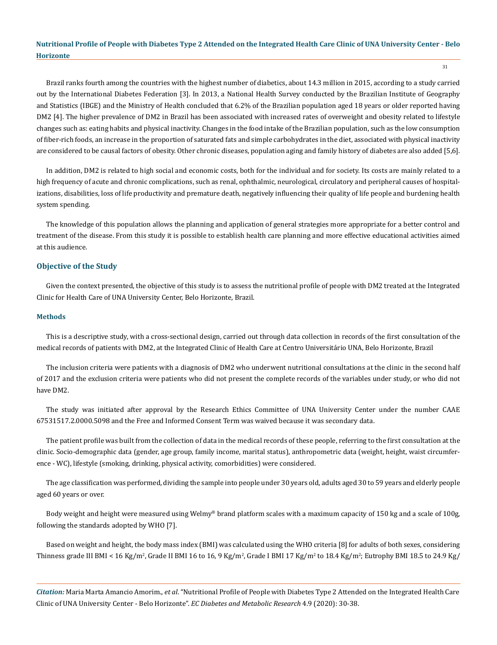31

Brazil ranks fourth among the countries with the highest number of diabetics, about 14.3 million in 2015, according to a study carried out by the International Diabetes Federation [3]. In 2013, a National Health Survey conducted by the Brazilian Institute of Geography and Statistics (IBGE) and the Ministry of Health concluded that 6.2% of the Brazilian population aged 18 years or older reported having DM2 [4]. The higher prevalence of DM2 in Brazil has been associated with increased rates of overweight and obesity related to lifestyle changes such as: eating habits and physical inactivity. Changes in the food intake of the Brazilian population, such as the low consumption of fiber-rich foods, an increase in the proportion of saturated fats and simple carbohydrates in the diet, associated with physical inactivity are considered to be causal factors of obesity. Other chronic diseases, population aging and family history of diabetes are also added [5,6].

In addition, DM2 is related to high social and economic costs, both for the individual and for society. Its costs are mainly related to a high frequency of acute and chronic complications, such as renal, ophthalmic, neurological, circulatory and peripheral causes of hospitalizations, disabilities, loss of life productivity and premature death, negatively influencing their quality of life people and burdening health system spending.

The knowledge of this population allows the planning and application of general strategies more appropriate for a better control and treatment of the disease. From this study it is possible to establish health care planning and more effective educational activities aimed at this audience.

#### **Objective of the Study**

Given the context presented, the objective of this study is to assess the nutritional profile of people with DM2 treated at the Integrated Clinic for Health Care of UNA University Center, Belo Horizonte, Brazil.

#### **Methods**

This is a descriptive study, with a cross-sectional design, carried out through data collection in records of the first consultation of the medical records of patients with DM2, at the Integrated Clinic of Health Care at Centro Universitário UNA, Belo Horizonte, Brazil

The inclusion criteria were patients with a diagnosis of DM2 who underwent nutritional consultations at the clinic in the second half of 2017 and the exclusion criteria were patients who did not present the complete records of the variables under study, or who did not have DM2.

The study was initiated after approval by the Research Ethics Committee of UNA University Center under the number CAAE 67531517.2.0000.5098 and the Free and Informed Consent Term was waived because it was secondary data.

The patient profile was built from the collection of data in the medical records of these people, referring to the first consultation at the clinic. Socio-demographic data (gender, age group, family income, marital status), anthropometric data (weight, height, waist circumference - WC), lifestyle (smoking, drinking, physical activity, comorbidities) were considered.

The age classification was performed, dividing the sample into people under 30 years old, adults aged 30 to 59 years and elderly people aged 60 years or over.

Body weight and height were measured using Welmy® brand platform scales with a maximum capacity of 150 kg and a scale of 100g, following the standards adopted by WHO [7].

Based on weight and height, the body mass index (BMI) was calculated using the WHO criteria [8] for adults of both sexes, considering Thinness grade III BMI < 16 Kg/m², Grade II BMI 16 to 16, 9 Kg/m², Grade I BMI 17 Kg/m² to 18.4 Kg/m²; Eutrophy BMI 18.5 to 24.9 Kg/

*Citation:* Maria Marta Amancio Amorim., *et al*. "Nutritional Profile of People with Diabetes Type 2 Attended on the Integrated Health Care Clinic of UNA University Center - Belo Horizonte". *EC Diabetes and Metabolic Research* 4.9 (2020): 30-38.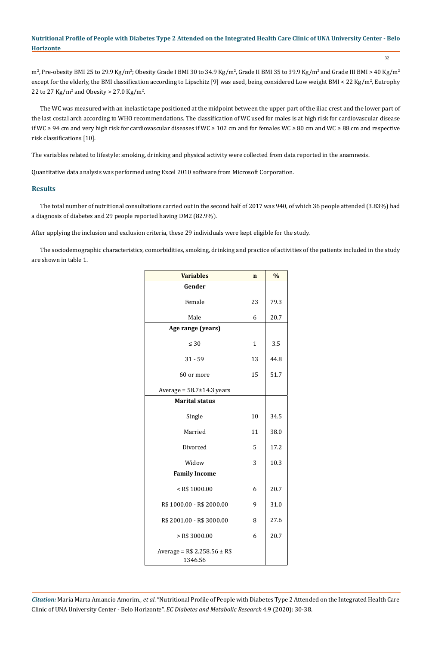m², Pre-obesity BMI 25 to 29.9 Kg/m²; Obesity Grade I BMI 30 to 34.9 Kg/m², Grade II BMI 35 to 39.9 Kg/m² and Grade III BMI > 40 Kg/m² except for the elderly, the BMI classification according to Lipschitz [9] was used, being considered Low weight BMI < 22 Kg/m², Eutrophy 22 to 27 Kg/m<sup>2</sup> and Obesity > 27.0 Kg/m<sup>2</sup>.

The WC was measured with an inelastic tape positioned at the midpoint between the upper part of the iliac crest and the lower part of the last costal arch according to WHO recommendations. The classification of WC used for males is at high risk for cardiovascular disease if WC ≥ 94 cm and very high risk for cardiovascular diseases if WC ≥ 102 cm and for females WC ≥ 80 cm and WC ≥ 88 cm and respective risk classifications [10].

The variables related to lifestyle: smoking, drinking and physical activity were collected from data reported in the anamnesis.

Quantitative data analysis was performed using Excel 2010 software from Microsoft Corporation.

#### **Results**

The total number of nutritional consultations carried out in the second half of 2017 was 940, of which 36 people attended (3.83%) had a diagnosis of diabetes and 29 people reported having DM2 (82.9%).

After applying the inclusion and exclusion criteria, these 29 individuals were kept eligible for the study.

The sociodemographic characteristics, comorbidities, smoking, drinking and practice of activities of the patients included in the study are shown in table 1.

| <b>Variables</b>                          | $\mathbf n$  | $\%$ |
|-------------------------------------------|--------------|------|
| Gender                                    |              |      |
| Female                                    | 23           | 79.3 |
| Male                                      | 6            | 20.7 |
| Age range (years)                         |              |      |
| $\leq 30$                                 | $\mathbf{1}$ | 3.5  |
| $31 - 59$                                 | 13           | 44.8 |
| 60 or more                                | 15           | 51.7 |
| Average = $58.7 \pm 14.3$ years           |              |      |
| <b>Marital status</b>                     |              |      |
| Single                                    | 10           | 34.5 |
| Married                                   | 11           | 38.0 |
| Divorced                                  | 5            | 17.2 |
| Widow                                     | 3            | 10.3 |
| <b>Family Income</b>                      |              |      |
| $<$ R\$ 1000.00                           | 6            | 20.7 |
| R\$ 1000.00 - R\$ 2000.00                 | 9            | 31.0 |
| R\$ 2001.00 - R\$ 3000.00                 | 8            | 27.6 |
| $>$ R\$ 3000.00                           | 6            | 20.7 |
| Average = $R$ 2.258.56 \pm R$$<br>1346.56 |              |      |

*Citation:* Maria Marta Amancio Amorim., *et al*. "Nutritional Profile of People with Diabetes Type 2 Attended on the Integrated Health Care Clinic of UNA University Center - Belo Horizonte". *EC Diabetes and Metabolic Research* 4.9 (2020): 30-38.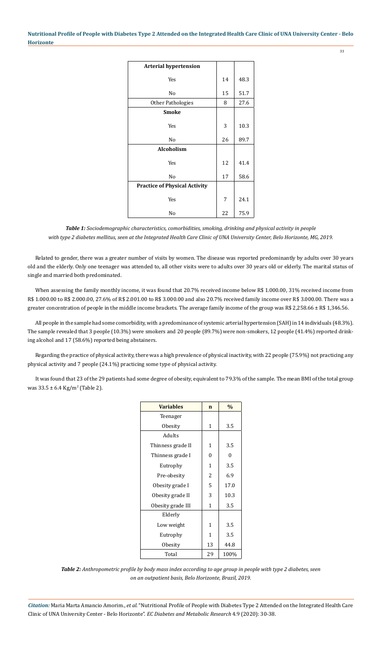| <b>Arterial hypertension</b>         |    |      |
|--------------------------------------|----|------|
|                                      |    |      |
| <b>Yes</b>                           | 14 | 48.3 |
|                                      |    |      |
| No                                   | 15 | 51.7 |
| <b>Other Pathologies</b>             | 8  | 27.6 |
| <b>Smoke</b>                         |    |      |
|                                      |    |      |
| Yes                                  | 3  | 10.3 |
| N <sub>o</sub>                       | 26 | 89.7 |
| <b>Alcoholism</b>                    |    |      |
| Yes                                  | 12 | 41.4 |
|                                      |    |      |
| No                                   | 17 | 58.6 |
| <b>Practice of Physical Activity</b> |    |      |
|                                      |    |      |
| Yes                                  | 7  | 24.1 |
| No                                   | 22 | 75.9 |

*Table 1: Sociodemographic characteristics, comorbidities, smoking, drinking and physical activity in people with type 2 diabetes mellitus, seen at the Integrated Health Care Clinic of UNA University Center, Belo Horizonte, MG, 2019.*

Related to gender, there was a greater number of visits by women. The disease was reported predominantly by adults over 30 years old and the elderly. Only one teenager was attended to, all other visits were to adults over 30 years old or elderly. The marital status of single and married both predominated.

When assessing the family monthly income, it was found that 20.7% received income below R\$ 1.000.00, 31% received income from R\$ 1.000.00 to R\$ 2.000.00, 27.6% of R\$ 2.001.00 to R\$ 3.000.00 and also 20.7% received family income over R\$ 3.000.00. There was a greater concentration of people in the middle income brackets. The average family income of the group was R\$ 2,258.66 ± R\$ 1,346.56.

All people in the sample had some comorbidity, with a predominance of systemic arterial hypertension (SAH) in 14 individuals (48.3%). The sample revealed that 3 people (10.3%) were smokers and 20 people (89.7%) were non-smokers, 12 people (41.4%) reported drinking alcohol and 17 (58.6%) reported being abstainers.

Regarding the practice of physical activity, there was a high prevalence of physical inactivity, with 22 people (75.9%) not practicing any physical activity and 7 people (24.1%) practicing some type of physical activity.

It was found that 23 of the 29 patients had some degree of obesity, equivalent to 79.3% of the sample. The mean BMI of the total group was 33.5 ± 6.4 Kg/m<sup>2</sup> (Table 2).

| <b>Variables</b>  | $\mathbf n$ | $\frac{0}{0}$ |
|-------------------|-------------|---------------|
| Teenager          |             |               |
| Obesity           | 1           | 3.5           |
| Adults            |             |               |
| Thinness grade II | 1           | 3.5           |
| Thinness grade I  | 0           | $\theta$      |
| Eutrophy          | 1           | 3.5           |
| Pre-obesity       | 2           | 6.9           |
| Obesity grade I   | 5           | 17.0          |
| Obesity grade II  | 3           | 10.3          |
| Obesity grade III | 1           | 3.5           |
| Elderly           |             |               |
| Low weight        | 1           | 3.5           |
| Eutrophy          | 1           | 3.5           |
| Obesity           | 13          | 44.8          |
| Total             | 29          | 100%          |

*Table 2: Anthropometric profile by body mass index according to age group in people with type 2 diabetes, seen on an outpatient basis, Belo Horizonte, Brazil, 2019.*

*Citation:* Maria Marta Amancio Amorim., *et al*. "Nutritional Profile of People with Diabetes Type 2 Attended on the Integrated Health Care Clinic of UNA University Center - Belo Horizonte". *EC Diabetes and Metabolic Research* 4.9 (2020): 30-38.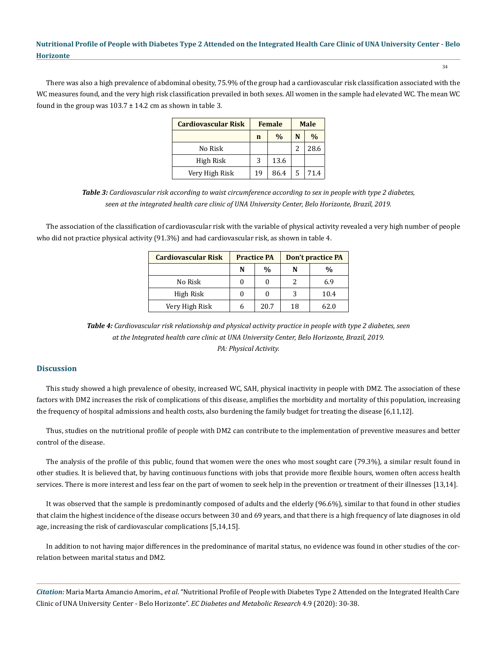There was also a high prevalence of abdominal obesity, 75.9% of the group had a cardiovascular risk classification associated with the WC measures found, and the very high risk classification prevailed in both sexes. All women in the sample had elevated WC. The mean WC found in the group was  $103.7 \pm 14.2$  cm as shown in table 3.

| <b>Cardiovascular Risk</b> | <b>Female</b> |               | <b>Male</b> |               |
|----------------------------|---------------|---------------|-------------|---------------|
|                            | n             | $\frac{0}{0}$ | N           | $\frac{0}{0}$ |
| No Risk                    |               |               |             | 28.6          |
| High Risk                  | 3             | 13.6          |             |               |
| Very High Risk             | 19            | 86.4          | 5           | 71.4          |

*Table 3: Cardiovascular risk according to waist circumference according to sex in people with type 2 diabetes, seen at the integrated health care clinic of UNA University Center, Belo Horizonte, Brazil, 2019.*

The association of the classification of cardiovascular risk with the variable of physical activity revealed a very high number of people who did not practice physical activity (91.3%) and had cardiovascular risk, as shown in table 4.

| <b>Cardiovascular Risk</b> | <b>Practice PA</b> |               | Don't practice PA |      |  |
|----------------------------|--------------------|---------------|-------------------|------|--|
|                            | N                  | $\frac{0}{0}$ | N                 | %    |  |
| No Risk                    |                    | 0             |                   | 6.9  |  |
| High Risk                  |                    | 0             | 3                 | 10.4 |  |
| Very High Risk             |                    | 20.7          | 18                | 62.0 |  |

*Table 4: Cardiovascular risk relationship and physical activity practice in people with type 2 diabetes, seen at the Integrated health care clinic at UNA University Center, Belo Horizonte, Brazil, 2019. PA: Physical Activity.*

## **Discussion**

This study showed a high prevalence of obesity, increased WC, SAH, physical inactivity in people with DM2. The association of these factors with DM2 increases the risk of complications of this disease, amplifies the morbidity and mortality of this population, increasing the frequency of hospital admissions and health costs, also burdening the family budget for treating the disease [6,11,12].

Thus, studies on the nutritional profile of people with DM2 can contribute to the implementation of preventive measures and better control of the disease.

The analysis of the profile of this public, found that women were the ones who most sought care (79.3%), a similar result found in other studies. It is believed that, by having continuous functions with jobs that provide more flexible hours, women often access health services. There is more interest and less fear on the part of women to seek help in the prevention or treatment of their illnesses [13,14].

It was observed that the sample is predominantly composed of adults and the elderly (96.6%), similar to that found in other studies that claim the highest incidence of the disease occurs between 30 and 69 years, and that there is a high frequency of late diagnoses in old age, increasing the risk of cardiovascular complications [5,14,15].

In addition to not having major differences in the predominance of marital status, no evidence was found in other studies of the correlation between marital status and DM2.

*Citation:* Maria Marta Amancio Amorim., *et al*. "Nutritional Profile of People with Diabetes Type 2 Attended on the Integrated Health Care Clinic of UNA University Center - Belo Horizonte". *EC Diabetes and Metabolic Research* 4.9 (2020): 30-38.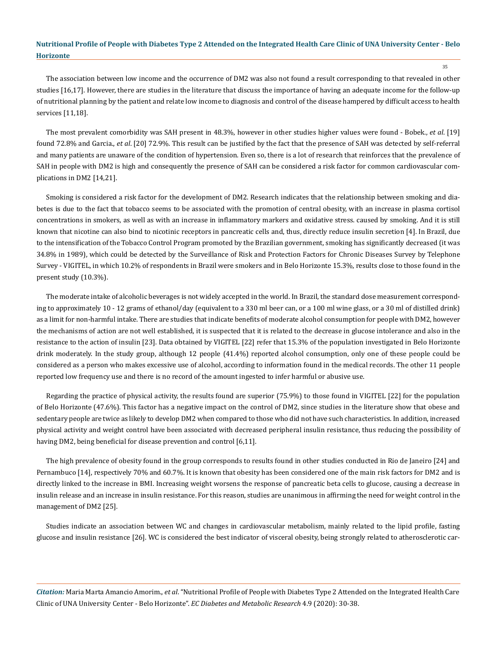The association between low income and the occurrence of DM2 was also not found a result corresponding to that revealed in other studies [16,17]. However, there are studies in the literature that discuss the importance of having an adequate income for the follow-up of nutritional planning by the patient and relate low income to diagnosis and control of the disease hampered by difficult access to health services [11,18].

The most prevalent comorbidity was SAH present in 48.3%, however in other studies higher values were found - Bobek., *et al*. [19] found 72.8% and Garcia., *et al*. [20] 72.9%. This result can be justified by the fact that the presence of SAH was detected by self-referral and many patients are unaware of the condition of hypertension. Even so, there is a lot of research that reinforces that the prevalence of SAH in people with DM2 is high and consequently the presence of SAH can be considered a risk factor for common cardiovascular complications in DM2 [14,21].

Smoking is considered a risk factor for the development of DM2. Research indicates that the relationship between smoking and diabetes is due to the fact that tobacco seems to be associated with the promotion of central obesity, with an increase in plasma cortisol concentrations in smokers, as well as with an increase in inflammatory markers and oxidative stress. caused by smoking. And it is still known that nicotine can also bind to nicotinic receptors in pancreatic cells and, thus, directly reduce insulin secretion [4]. In Brazil, due to the intensification of the Tobacco Control Program promoted by the Brazilian government, smoking has significantly decreased (it was 34.8% in 1989), which could be detected by the Surveillance of Risk and Protection Factors for Chronic Diseases Survey by Telephone Survey - VIGITEL, in which 10.2% of respondents in Brazil were smokers and in Belo Horizonte 15.3%, results close to those found in the present study (10.3%).

The moderate intake of alcoholic beverages is not widely accepted in the world. In Brazil, the standard dose measurement corresponding to approximately 10 - 12 grams of ethanol/day (equivalent to a 330 ml beer can, or a 100 ml wine glass, or a 30 ml of distilled drink) as a limit for non-harmful intake. There are studies that indicate benefits of moderate alcohol consumption for people with DM2, however the mechanisms of action are not well established, it is suspected that it is related to the decrease in glucose intolerance and also in the resistance to the action of insulin [23]. Data obtained by VIGITEL [22] refer that 15.3% of the population investigated in Belo Horizonte drink moderately. In the study group, although 12 people (41.4%) reported alcohol consumption, only one of these people could be considered as a person who makes excessive use of alcohol, according to information found in the medical records. The other 11 people reported low frequency use and there is no record of the amount ingested to infer harmful or abusive use.

Regarding the practice of physical activity, the results found are superior (75.9%) to those found in VIGITEL [22] for the population of Belo Horizonte (47.6%). This factor has a negative impact on the control of DM2, since studies in the literature show that obese and sedentary people are twice as likely to develop DM2 when compared to those who did not have such characteristics. In addition, increased physical activity and weight control have been associated with decreased peripheral insulin resistance, thus reducing the possibility of having DM2, being beneficial for disease prevention and control [6,11].

The high prevalence of obesity found in the group corresponds to results found in other studies conducted in Rio de Janeiro [24] and Pernambuco [14], respectively 70% and 60.7%. It is known that obesity has been considered one of the main risk factors for DM2 and is directly linked to the increase in BMI. Increasing weight worsens the response of pancreatic beta cells to glucose, causing a decrease in insulin release and an increase in insulin resistance. For this reason, studies are unanimous in affirming the need for weight control in the management of DM2 [25].

Studies indicate an association between WC and changes in cardiovascular metabolism, mainly related to the lipid profile, fasting glucose and insulin resistance [26]. WC is considered the best indicator of visceral obesity, being strongly related to atherosclerotic car-

*Citation:* Maria Marta Amancio Amorim., *et al*. "Nutritional Profile of People with Diabetes Type 2 Attended on the Integrated Health Care Clinic of UNA University Center - Belo Horizonte". *EC Diabetes and Metabolic Research* 4.9 (2020): 30-38.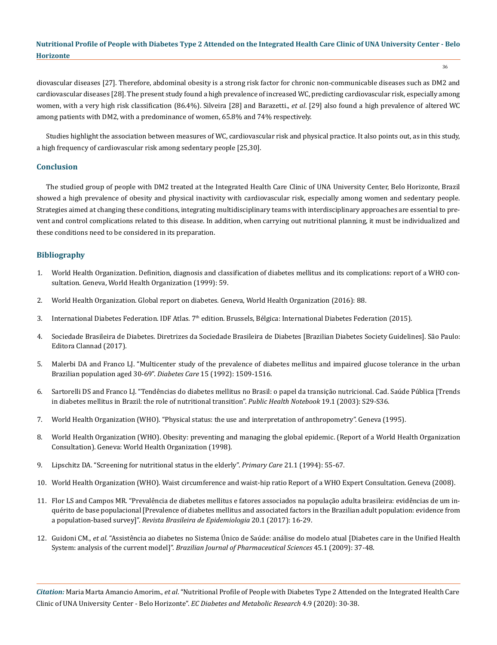diovascular diseases [27]. Therefore, abdominal obesity is a strong risk factor for chronic non-communicable diseases such as DM2 and cardiovascular diseases [28]. The present study found a high prevalence of increased WC, predicting cardiovascular risk, especially among women, with a very high risk classification (86.4%). Silveira [28] and Barazetti., *et al*. [29] also found a high prevalence of altered WC among patients with DM2, with a predominance of women, 65.8% and 74% respectively.

Studies highlight the association between measures of WC, cardiovascular risk and physical practice. It also points out, as in this study, a high frequency of cardiovascular risk among sedentary people [25,30].

#### **Conclusion**

The studied group of people with DM2 treated at the Integrated Health Care Clinic of UNA University Center, Belo Horizonte, Brazil showed a high prevalence of obesity and physical inactivity with cardiovascular risk, especially among women and sedentary people. Strategies aimed at changing these conditions, integrating multidisciplinary teams with interdisciplinary approaches are essential to prevent and control complications related to this disease. In addition, when carrying out nutritional planning, it must be individualized and these conditions need to be considered in its preparation.

#### **Bibliography**

- 1. [World Health Organization. Definition, diagnosis and classification of diabetes mellitus and its complications: report of a WHO con](https://apps.who.int/iris/handle/10665/66040)[sultation. Geneva, World Health Organization \(1999\): 59.](https://apps.who.int/iris/handle/10665/66040)
- 2. [World Health Organization. Global report on diabetes. Geneva, World Health Organization \(2016\): 88.](https://apps.who.int/iris/bitstream/handle/10665/204871/9789241565257_eng.pdf?sequence=1)
- 3. International Diabetes Federation. IDF Atlas. 7<sup>th</sup> edition. Brussels, Bélgica: International Diabetes Federation (2015).
- 4. [Sociedade Brasileira de Diabetes. Diretrizes da Sociedade Brasileira de Diabetes \[Brazilian Diabetes Society Guidelines\]. São Paulo:](https://www.diabetes.org.br/profissionais/images/DIRETRIZES-COMPLETA-2019-2020.pdf)  [Editora Clannad \(2017\).](https://www.diabetes.org.br/profissionais/images/DIRETRIZES-COMPLETA-2019-2020.pdf)
- 5. [Malerbi DA and Franco LJ. "Multicenter study of the prevalence of diabetes mellitus and impaired glucose tolerance in the urban](https://care.diabetesjournals.org/content/15/11/1509)  [Brazilian population aged 30-69".](https://care.diabetesjournals.org/content/15/11/1509) *Diabetes Care* 15 (1992): 1509-1516.
- 6. [Sartorelli DS and Franco LJ. "Tendências do diabetes mellitus no Brasil: o papel da transição nutricional. Cad. Saúde Pública \[Trends](https://www.scielo.br/scielo.php?script=sci_arttext&pid=S0102-311X2003000700004&lng=en)  [in diabetes mellitus in Brazil: the role of nutritional transition".](https://www.scielo.br/scielo.php?script=sci_arttext&pid=S0102-311X2003000700004&lng=en) *Public Health Notebook* 19.1 (2003): S29-S36.
- 7. [World Health Organization \(WHO\). "Physical status: the use and interpretation of anthropometry". Geneva \(1995\).](https://apps.who.int/iris/handle/10665/37003)
- 8. [World Health Organization \(WHO\). Obesity: preventing and managing the global epidemic. \(Report of a World Health Organization](https://www.who.int/nutrition/publications/obesity/WHO_TRS_894/en/)  [Consultation\). Geneva: World Health Organization \(1998\).](https://www.who.int/nutrition/publications/obesity/WHO_TRS_894/en/)
- 9. [Lipschitz DA. "Screening for nutritional status in the elderly".](https://pubmed.ncbi.nlm.nih.gov/8197257/) *Primary Care* 21.1 (1994): 55-67.
- 10. [World Health Organization \(WHO\). Waist circumference and waist-hip ratio Report of a WHO Expert Consultation. Geneva \(2008\).](https://www.who.int/nutrition/publications/obesity/WHO_report_waistcircumference_and_waisthip_ratio/en/)
- 11. [Flor LS and Campos MR. "Prevalência de diabetes mellitus e fatores associados na população adulta brasileira: evidências de um in](https://www.scielo.br/scielo.php?script=sci_arttext&pid=S1415-790X2017000100016)[quérito de base populacional \[Prevalence of diabetes mellitus and associated factors in the Brazilian adult population: evidence from](https://www.scielo.br/scielo.php?script=sci_arttext&pid=S1415-790X2017000100016)  a population-based survey]". *[Revista Brasileira de Epidemiologia](https://www.scielo.br/scielo.php?script=sci_arttext&pid=S1415-790X2017000100016)* 20.1 (2017): 16-29.
- 12. Guidoni CM., *et al.* ["Assistência ao diabetes no Sistema Único de Saúde: análise do modelo atual \[Diabetes care in the Unified Health](http://www.revistas.usp.br/bjps/article/view/10652)  System: analysis of the current model]". *[Brazilian Journal of Pharmaceutical Sciences](http://www.revistas.usp.br/bjps/article/view/10652)* 45.1 (2009): 37-48.

*Citation:* Maria Marta Amancio Amorim., *et al*. "Nutritional Profile of People with Diabetes Type 2 Attended on the Integrated Health Care Clinic of UNA University Center - Belo Horizonte". *EC Diabetes and Metabolic Research* 4.9 (2020): 30-38.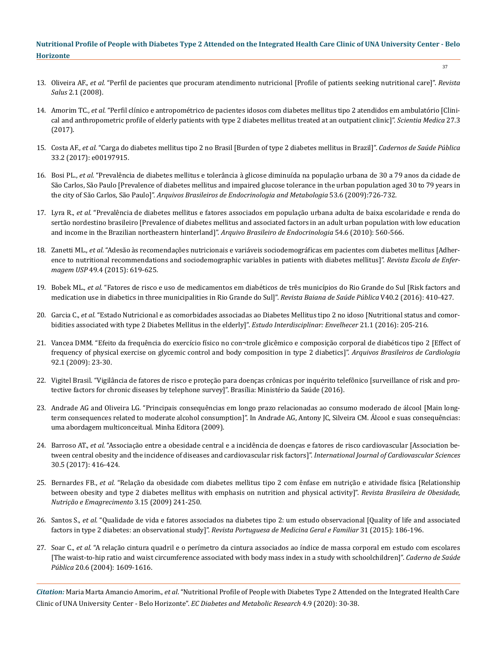- 13. Oliveira AF., *et al.* ["Perfil de pacientes que procuram atendimento nutricional \[Profile of patients seeking nutritional care\]".](https://core.ac.uk/download/pdf/230452278.pdf) *Revista Salus* [2.1 \(2008\).](https://core.ac.uk/download/pdf/230452278.pdf)
- 14. Amorim TC., *et al.* ["Perfil clínico e antropométrico de pacientes idosos com diabetes mellitus tipo 2 atendidos em ambulatório \[Clini](https://pesquisa.bvsalud.org/portal/resource/pt/biblio-848442?lang=en)[cal and anthropometric profile of elderly patients with type 2 diabetes mellitus treated at an outpatient clinic\]".](https://pesquisa.bvsalud.org/portal/resource/pt/biblio-848442?lang=en) *Scientia Medica* 27.3 [\(2017\).](https://pesquisa.bvsalud.org/portal/resource/pt/biblio-848442?lang=en)
- 15. Costa AF., *et al.* ["Carga do diabetes mellitus tipo 2 no Brasil \[Burden of type 2 diabetes mellitus in Brazil\]".](https://www.scielo.br/scielo.php?script=sci_arttext&pid=S0102-311X2017000205011&lng=en&nrm=iso&tlng=en) *Cadernos de Saúde Pública*  [33.2 \(2017\): e00197915.](https://www.scielo.br/scielo.php?script=sci_arttext&pid=S0102-311X2017000205011&lng=en&nrm=iso&tlng=en)
- 16. Bosi PL., *et al.* ["Prevalência de diabetes mellitus e tolerância à glicose diminuída na população urbana de 30 a 79 anos da cidade de](https://www.scielo.br/scielo.php?script=sci_arttext&pid=S0004-27302009000600006) [São Carlos, São Paulo \[Prevalence of diabetes mellitus and impaired glucose tolerance in the urban population aged 30 to 79 years in](https://www.scielo.br/scielo.php?script=sci_arttext&pid=S0004-27302009000600006)  the city of São Carlos, São Paulo]". *[Arquivos Brasileiros de Endocrinologia and Metabologia](https://www.scielo.br/scielo.php?script=sci_arttext&pid=S0004-27302009000600006)* 53.6 (2009):726-732.
- 17. Lyra R., *et al.* ["Prevalência de diabetes mellitus e fatores associados em população urbana adulta de baixa escolaridade e renda do](https://www.scielo.br/scielo.php?script=sci_arttext&pid=S0004-27302010000600009)  [sertão nordestino brasileiro \[Prevalence of diabetes mellitus and associated factors in an adult urban population with low education](https://www.scielo.br/scielo.php?script=sci_arttext&pid=S0004-27302010000600009)  [and income in the Brazilian northeastern hinterland\]".](https://www.scielo.br/scielo.php?script=sci_arttext&pid=S0004-27302010000600009) *Arquivo Brasileiro de Endocrinologia* 54.6 (2010): 560-566.
- 18. Zanetti ML., *et al.* ["Adesão às recomendações nutricionais e variáveis sociodemográficas em pacientes com diabetes mellitus \[Adher](https://www.scielo.br/scielo.php?script=sci_arttext&pid=S0080-62342015000400619&lng=en&nrm=iso&tlng=pt)[ence to nutritional recommendations and sociodemographic variables in patients with diabetes mellitus\]".](https://www.scielo.br/scielo.php?script=sci_arttext&pid=S0080-62342015000400619&lng=en&nrm=iso&tlng=pt) *Revista Escola de Enfermagem USP* [49.4 \(2015\): 619-625.](https://www.scielo.br/scielo.php?script=sci_arttext&pid=S0080-62342015000400619&lng=en&nrm=iso&tlng=pt)
- 19. Bobek ML., *et al.* ["Fatores de risco e uso de medicamentos em diabéticos de três municípios do Rio Grande do Sul \[Risk factors and](https://pesquisa.bvsalud.org/portal/resource/pt/biblio-859786)  [medication use in diabetics in three municipalities in Rio Grande do Sul\]".](https://pesquisa.bvsalud.org/portal/resource/pt/biblio-859786) *Revista Baiana de Saúde Pública* V40.2 (2016): 410-427.
- 20. Garcia C., *et al.* ["Estado Nutricional e as comorbidades associadas ao Diabetes Mellitus tipo 2 no idoso \[Nutritional status and comor](https://pesquisa.bvsalud.org/portal/resource/pt/biblio-868949)[bidities associated with type 2 Diabetes Mellitus in the elderly\]".](https://pesquisa.bvsalud.org/portal/resource/pt/biblio-868949) *Estudo Interdisciplinar: Envelhecer* 21.1 (2016): 205-216.
- 21. [Vancea DMM. "Efeito da frequência do exercício físico no con¬trole glicêmico e composição corporal de diabéticos tipo 2 \[Effect of](https://www.scielo.br/scielo.php?script=sci_arttext&pid=S0066-782X2009000100005) [frequency of physical exercise on glycemic control and body composition in type 2 diabetics\]".](https://www.scielo.br/scielo.php?script=sci_arttext&pid=S0066-782X2009000100005) *Arquivos Brasileiros de Cardiologia* [92.1 \(2009\): 23-30.](https://www.scielo.br/scielo.php?script=sci_arttext&pid=S0066-782X2009000100005)
- 22. Vigitel Brasil. "Vigilância de fatores de risco e proteção para doenças crônicas por inquérito telefônico [surveillance of risk and protective factors for chronic diseases by telephone survey]". Brasília: Ministério da Saúde (2016).
- 23. Andrade AG and Oliveira LG. "Principais consequências em longo prazo relacionadas ao consumo moderado de álcool [Main longterm consequences related to moderate alcohol consumption]". In Andrade AG, Antony JC, Silveira CM. Álcool e suas consequências: uma abordagem multiconceitual. Minha Editora (2009).
- 24. Barroso AT., *et al.* ["Associação entre a obesidade central e a incidência de doenças e fatores de risco cardiovascular \[Association be](https://www.scielo.br/pdf/ijcs/v30n5/pt_2359-4802-ijcs-30-05-0416.pdf)[tween central obesity and the incidence of diseases and cardiovascular risk factors\]".](https://www.scielo.br/pdf/ijcs/v30n5/pt_2359-4802-ijcs-30-05-0416.pdf) *International Journal of Cardiovascular Sciences* [30.5 \(2017\): 416-424.](https://www.scielo.br/pdf/ijcs/v30n5/pt_2359-4802-ijcs-30-05-0416.pdf)
- 25. Bernardes FB., *et al.* ["Relação da obesidade com diabetes mellitus tipo 2 com ênfase em nutrição e atividade física \[Relationship](https://go.gale.com/ps/anonymous?id=GALE%7CA391461955&sid=googleScholar&v=2.1&it=r&linkaccess=abs&issn=19819919&p=AONE&sw=w)  [between obesity and type 2 diabetes mellitus with emphasis on nutrition and physical activity\]".](https://go.gale.com/ps/anonymous?id=GALE%7CA391461955&sid=googleScholar&v=2.1&it=r&linkaccess=abs&issn=19819919&p=AONE&sw=w) *Revista Brasileira de Obesidade, [Nutrição e Emagrecimento](https://go.gale.com/ps/anonymous?id=GALE%7CA391461955&sid=googleScholar&v=2.1&it=r&linkaccess=abs&issn=19819919&p=AONE&sw=w)* 3.15 (2009) 241-250.
- 26. Santos S., *et al.* ["Qualidade de vida e fatores associados na diabetes tipo 2: um estudo observacional \[Quality of life and associated](https://www.researchgate.net/publication/317470846_Qualidade_de_vida_e_fatores_associados_na_diabetes_mellitus_tipo_2_estudo_observacional) factors in type 2 diabetes: an observational study]". *[Revista Portuguesa de Medicina Geral e Familiar](https://www.researchgate.net/publication/317470846_Qualidade_de_vida_e_fatores_associados_na_diabetes_mellitus_tipo_2_estudo_observacional)* 31 (2015): 186-196.
- 27. Soar C., *et al.* ["A relação cintura quadril e o perímetro da cintura associados ao índice de massa corporal em estudo com escolares](https://www.scielo.br/scielo.php?script=sci_abstract&pid=S0102-311X2004000600019&lng=en&nrm=iso)  [\[The waist-to-hip ratio and waist circumference associated with body mass index in a study with schoolchildren\]".](https://www.scielo.br/scielo.php?script=sci_abstract&pid=S0102-311X2004000600019&lng=en&nrm=iso) *Caderno de Saúde Pública* [20.6 \(2004\): 1609-1616.](https://www.scielo.br/scielo.php?script=sci_abstract&pid=S0102-311X2004000600019&lng=en&nrm=iso)

*Citation:* Maria Marta Amancio Amorim., *et al*. "Nutritional Profile of People with Diabetes Type 2 Attended on the Integrated Health Care Clinic of UNA University Center - Belo Horizonte". *EC Diabetes and Metabolic Research* 4.9 (2020): 30-38.